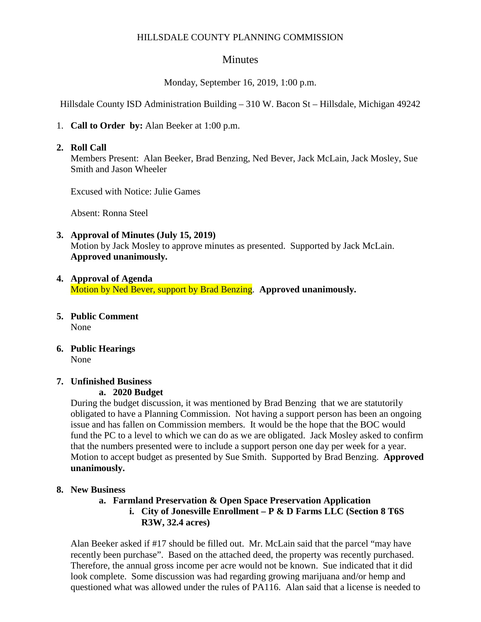### HILLSDALE COUNTY PLANNING COMMISSION

# **Minutes**

Monday, September 16, 2019, 1:00 p.m.

Hillsdale County ISD Administration Building – 310 W. Bacon St – Hillsdale, Michigan 49242

1. **Call to Order by:** Alan Beeker at 1:00 p.m.

#### **2. Roll Call**

Members Present: Alan Beeker, Brad Benzing, Ned Bever, Jack McLain, Jack Mosley, Sue Smith and Jason Wheeler

Excused with Notice: Julie Games

Absent: Ronna Steel

### **3. Approval of Minutes (July 15, 2019)**

Motion by Jack Mosley to approve minutes as presented. Supported by Jack McLain. **Approved unanimously.** 

### **4. Approval of Agenda**  Motion by Ned Bever, support by Brad Benzing. **Approved unanimously.**

- **5. Public Comment**  None
- **6. Public Hearings**  None

### **7. Unfinished Business**

#### **a. 2020 Budget**

During the budget discussion, it was mentioned by Brad Benzing that we are statutorily obligated to have a Planning Commission. Not having a support person has been an ongoing issue and has fallen on Commission members. It would be the hope that the BOC would fund the PC to a level to which we can do as we are obligated. Jack Mosley asked to confirm that the numbers presented were to include a support person one day per week for a year. Motion to accept budget as presented by Sue Smith. Supported by Brad Benzing. **Approved unanimously.** 

#### **8. New Business**

### **a. Farmland Preservation & Open Space Preservation Application**

### **i. City of Jonesville Enrollment – P & D Farms LLC (Section 8 T6S R3W, 32.4 acres)**

Alan Beeker asked if #17 should be filled out. Mr. McLain said that the parcel "may have recently been purchase". Based on the attached deed, the property was recently purchased. Therefore, the annual gross income per acre would not be known. Sue indicated that it did look complete. Some discussion was had regarding growing marijuana and/or hemp and questioned what was allowed under the rules of PA116. Alan said that a license is needed to